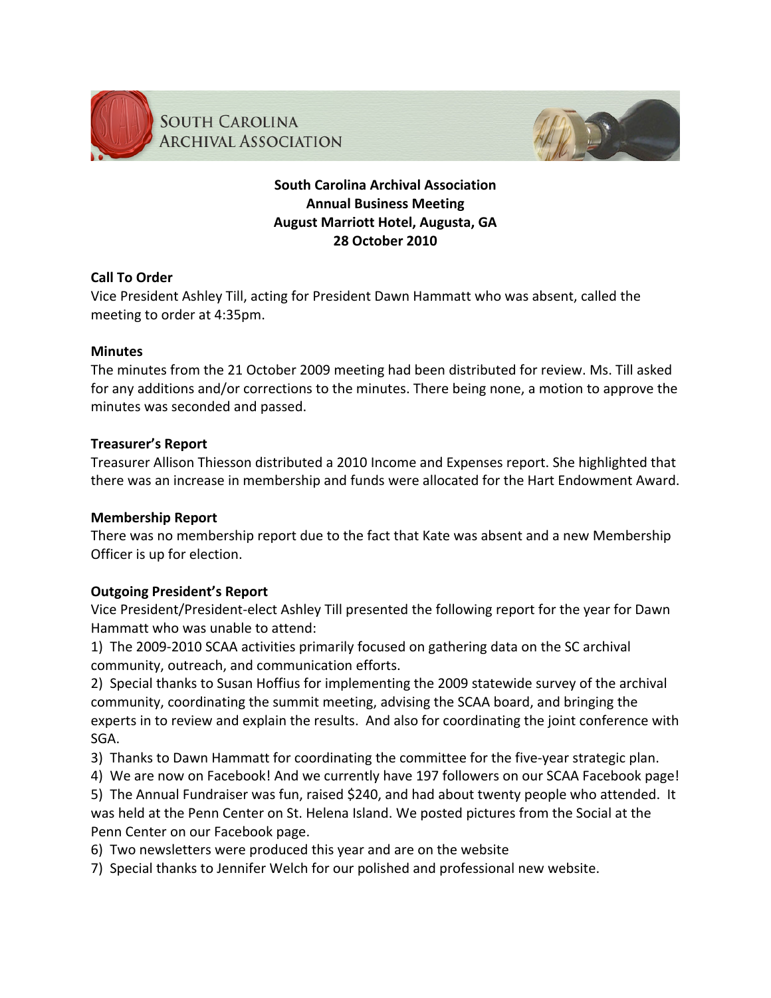

**SOUTH CAROLINA ARCHIVAL ASSOCIATION** 



# **South
Carolina
Archival
Association Annual
Business
Meeting August
Marriott
Hotel,
Augusta,
GA 28
October
2010**

## **Call
To
Order**

Vice
President
Ashley
Till,
acting
for
President
Dawn
Hammatt
who
was
absent,
called
the meeting
to
order
at
4:35pm.

## **Minutes**

The
minutes
from
the
21
October
2009
meeting
had
been
distributed
for
review.
Ms.
Till
asked for any additions and/or corrections to the minutes. There being none, a motion to approve the minutes
was
seconded
and
passed.

## **Treasurer's
Report**

Treasurer
Allison
Thiesson
distributed
a
2010
Income
and
Expenses
report.
She
highlighted
that there
was
an
increase
in
membership
and
funds
were
allocated
for
the
Hart
Endowment
Award.

## **Membership
Report**

There was no membership report due to the fact that Kate was absent and a new Membership Officer
is
up
for
election.

## **Outgoing
President's
Report**

Vice President/President-elect Ashley Till presented the following report for the year for Dawn Hammatt
who
was
unable
to
attend:

1) The 2009-2010 SCAA activities primarily focused on gathering data on the SC archival community,
outreach,
and
communication
efforts.

2) Special thanks to Susan Hoffius for implementing the 2009 statewide survey of the archival community, coordinating the summit meeting, advising the SCAA board, and bringing the experts in to review and explain the results. And also for coordinating the joint conference with SGA.

3) Thanks to Dawn Hammatt for coordinating the committee for the five-year strategic plan.

4) We are now on Facebook! And we currently have 197 followers on our SCAA Facebook page!

5) The Annual Fundraiser was fun, raised \$240, and had about twenty people who attended. It was held at the Penn Center on St. Helena Island. We posted pictures from the Social at the Penn
Center
on
our
Facebook
page.

- 6) Two
newsletters
were
produced
this
year
and
are
on
the
website
- 7) Special
thanks
to
Jennifer
Welch
for
our
polished
and
professional
new
website.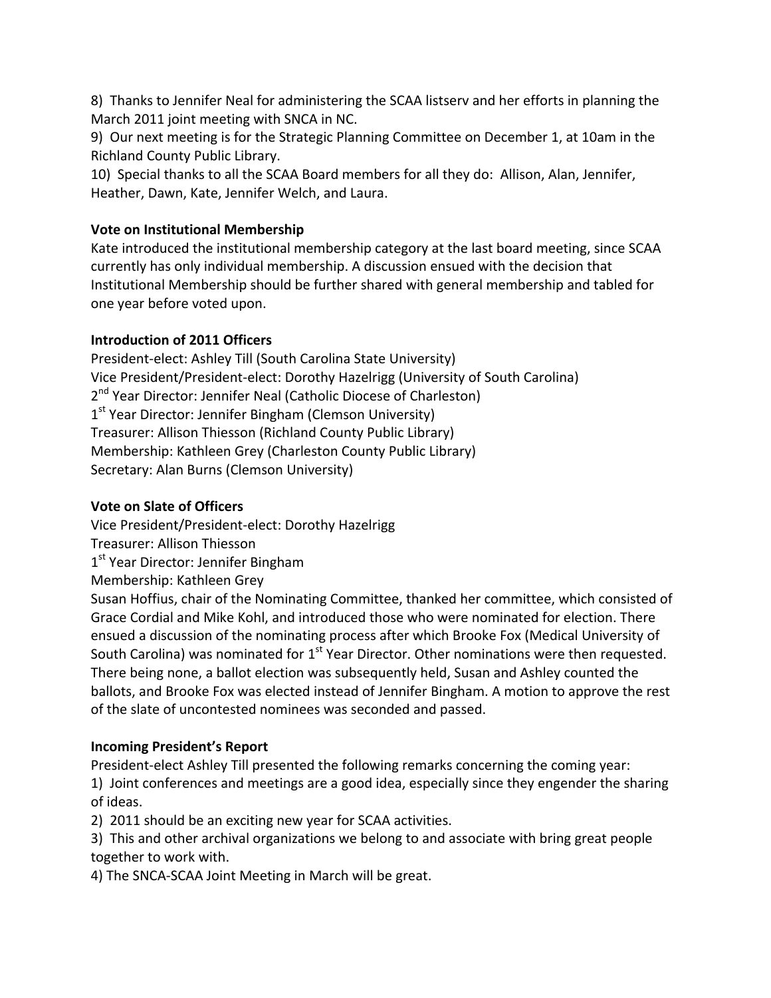8) Thanks to Jennifer Neal for administering the SCAA listserv and her efforts in planning the March 2011 joint meeting with SNCA in NC.

9) Our next meeting is for the Strategic Planning Committee on December 1, at 10am in the Richland
County
Public
Library.

10) Special
thanks
to
all
the
SCAA
Board
members
for
all
they
do: Allison,
Alan,
Jennifer, Heather,
Dawn,
Kate,
Jennifer
Welch,
and
Laura.

## **Vote
on
Institutional
Membership**

Kate introduced the institutional membership category at the last board meeting, since SCAA currently
has
only
individual
membership.
A
discussion
ensued
with
the
decision
that Institutional
Membership
should
be
further
shared
with
general
membership
and
tabled
for one
year
before
voted
upon.

## **Introduction
of
2011
Officers**

President-elect: Ashley Till (South Carolina State University) Vice President/President-elect: Dorothy Hazelrigg (University of South Carolina) 2<sup>nd</sup> Year Director: Jennifer Neal (Catholic Diocese of Charleston) 1<sup>st</sup> Year Director: Jennifer Bingham (Clemson University) Treasurer:
Allison
Thiesson
(Richland
County
Public
Library) Membership:
Kathleen
Grey
(Charleston
County
Public
Library) Secretary:
Alan
Burns
(Clemson
University)

## **Vote
on
Slate
of
Officers**

Vice
President/President‐elect:
Dorothy
Hazelrigg

- Treasurer:
Allison
Thiesson
- 1<sup>st</sup> Year Director: Jennifer Bingham
- Membership:
Kathleen
Grey

Susan Hoffius, chair of the Nominating Committee, thanked her committee, which consisted of Grace
Cordial
and
Mike
Kohl,
and
introduced
those
who
were
nominated
for
election.
There ensued a discussion of the nominating process after which Brooke Fox (Medical University of South Carolina) was nominated for 1<sup>st</sup> Year Director. Other nominations were then requested. There
being
none,
a
ballot
election
was
subsequently
held,
Susan
and
Ashley
counted
the ballots, and Brooke Fox was elected instead of Jennifer Bingham. A motion to approve the rest of
the
slate
of
uncontested
nominees
was
seconded
and
passed.

# **Incoming
President's
Report**

President-elect Ashley Till presented the following remarks concerning the coming year: 1) Joint conferences and meetings are a good idea, especially since they engender the sharing of
ideas.

2)

2011
should
be
an
exciting
new
year
for
SCAA
activities.

3)

This
and
other
archival
organizations
we
belong
to
and
associate
with
bring
great
people together
to
work
with.

4)
The
SNCA‐SCAA
Joint
Meeting
in
March
will
be
great.